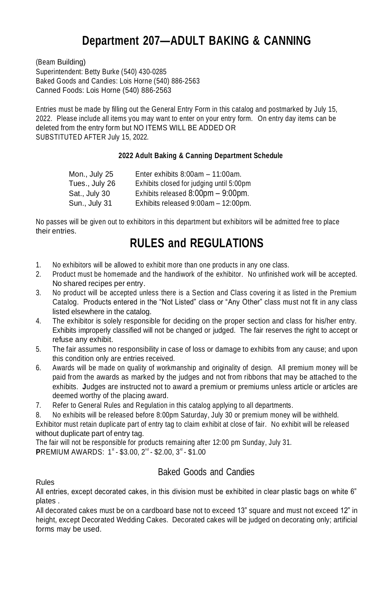# **Department 207—ADULT BAKING & CANNING**

(Beam Building) Superintendent: Betty Burke (540) 430-0285 Baked Goods and Candies: Lois Horne (540) 886-2563 Canned Foods: Lois Horne (540) 886-2563

Entries must be made by filling out the General Entry Form in this catalog and postmarked by July 15, 2022. Please include all items you may want to enter on your entry form. On entry day items can be deleted from the entry form but NO ITEMS WILL BE ADDED OR SUBSTITUTED AFTER July 15, 2022.

### **2022 Adult Baking & Canning Department Schedule**

| Mon., July 25  | Enter exhibits $8:00am - 11:00am$ .      |
|----------------|------------------------------------------|
| Tues., July 26 | Exhibits closed for judging until 5:00pm |
| Sat., July 30  | Exhibits released 8:00pm - 9:00pm.       |
| Sun., July 31  | Exhibits released 9:00am - 12:00pm.      |

No passes will be given out to exhibitors in this department but exhibitors will be admitted free to place their entries.

# **RULES and REGULATIONS**

- 1. No exhibitors will be allowed to exhibit more than one products in any one class.
- 2. Product must be homemade and the handiwork of the exhibitor. No unfinished work will be accepted. No shared recipes per entry.
- 3. No product will be accepted unless there is a Section and Class covering it as listed in the Premium Catalog. Products entered in the "Not Listed" class or "Any Other" class must not fit in any class listed elsewhere in the catalog.
- 4. The exhibitor is solely responsible for deciding on the proper section and class for his/her entry. Exhibits improperly classified will not be changed or judged. The fair reserves the right to accept or refuse any exhibit.
- 5. The fair assumes no responsibility in case of loss or damage to exhibits from any cause; and upon this condition only are entries received.
- 6. Awards will be made on quality of workmanship and originality of design. All premium money will be paid from the awards as marked by the judges and not from ribbons that may be attached to the exhibits. **J**udges are instructed not to award a premium or premiums unless article or articles are deemed worthy of the placing award.
- 7. Refer to General Rules and Regulation in this catalog applying to all departments.

8. No exhibits will be released before 8:00pm Saturday, July 30 or premium money will be withheld. Exhibitor must retain duplicate part of entry tag to claim exhibit at close of fair. No exhibit will be released without duplicate part of entry tag.

The fair will not be responsible for products remaining after 12:00 pm Sunday, July 31. **PREMIUM AWARDS: 1<sup>st</sup> - \$3.00, 2<sup>nd</sup> - \$2.00, 3<sup>rd</sup> - \$1.00** 

## Baked Goods and Candies

Rules

All entries, except decorated cakes, in this division must be exhibited in clear plastic bags on white 6" plates .

All decorated cakes must be on a cardboard base not to exceed 13" square and must not exceed 12" in height, except Decorated Wedding Cakes. Decorated cakes will be judged on decorating only; artificial forms may be used.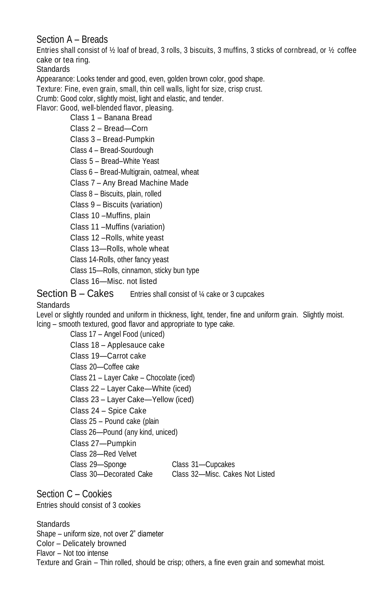### Section A – Breads

Entries shall consist of ½ loaf of bread, 3 rolls, 3 biscuits, 3 muffins, 3 sticks of cornbread, or ½ coffee cake or tea ring.

**Standards** 

Appearance: Looks tender and good, even, golden brown color, good shape.

Texture: Fine, even grain, small, thin cell walls, light for size, crisp crust.

Crumb: Good color, slightly moist, light and elastic, and tender.

Flavor: Good, well-blended flavor, pleasing.

Class 1 – Banana Bread Class 2 – Bread—Corn

- 
- Class 3 Bread-Pumpkin
- Class 4 Bread-Sourdough Class 5 – Bread–White Yeast
- 
- Class 6 Bread-Multigrain, oatmeal, wheat

Class 7 – Any Bread Machine Made

Class 8 – Biscuits, plain, rolled

Class 9 – Biscuits (variation)

- Class 10 –Muffins, plain
- Class 11 –Muffins (variation)
- Class 12 –Rolls, white yeast
- Class 13—Rolls, whole wheat
- Class 14-Rolls, other fancy yeast
- Class 15—Rolls, cinnamon, sticky bun type
- Class 16—Misc. not listed

Section  $B - Cakes$  Entries shall consist of  $\frac{1}{4}$  cake or 3 cupcakes

### **Standards**

Level or slightly rounded and uniform in thickness, light, tender, fine and uniform grain. Slightly moist. Icing – smooth textured, good flavor and appropriate to type cake.

- Class 17 Angel Food (uniced) Class 18 – Applesauce cake Class 19—Carrot cake Class 20—Coffee cake
- Class 21 Layer Cake Chocolate (iced)
- Class 22 Layer Cake—White (iced)
- Class 23 Layer Cake—Yellow (iced)
- Class 24 Spice Cake
- Class 25 Pound cake (plain
- Class 26—Pound (any kind, uniced)
- Class 27—Pumpkin
- Class 28—Red Velvet
- Class 29—Sponge Class 31—Cupcakes

Class 30—Decorated Cake Class 32—Misc. Cakes Not Listed

Section C – Cookies Entries should consist of 3 cookies

**Standards** Shape – uniform size, not over 2" diameter Color – Delicately browned Flavor – Not too intense Texture and Grain – Thin rolled, should be crisp; others, a fine even grain and somewhat moist.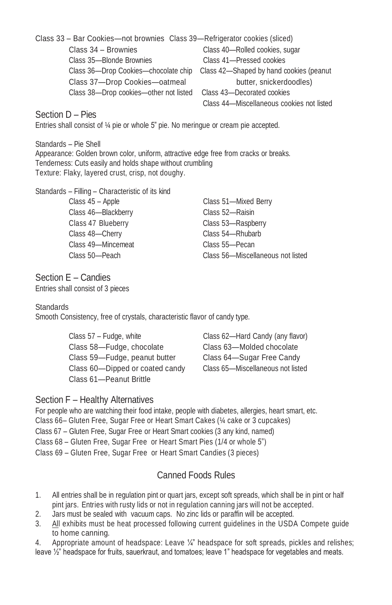| Class 33 - Bar Cookies—not brownies Class 39—Refrigerator cookies (sliced) |                                           |
|----------------------------------------------------------------------------|-------------------------------------------|
| Class 34 - Brownies                                                        | Class 40-Rolled cookies, sugar            |
| Class 35-Blonde Brownies                                                   | Class 41-Pressed cookies                  |
| Class 36-Drop Cookies-chocolate chip                                       | Class 42-Shaped by hand cookies (peanut   |
| Class 37-Drop Cookies-oatmeal                                              | butter, snickerdoodles)                   |
| Class 38-Drop cookies-other not listed                                     | Class 43-Decorated cookies                |
|                                                                            | Class 44-Miscellaneous cookies not listed |

Section D – Pies

Entries shall consist of ¼ pie or whole 5" pie. No meringue or cream pie accepted.

Standards – Pie Shell Appearance: Golden brown color, uniform, attractive edge free from cracks or breaks. Tenderness: Cuts easily and holds shape without crumbling Texture: Flaky, layered crust, crisp, not doughy.

Standards – Filling – Characteristic of its kind Class 45 – Apple Class 51—Mixed Berry Class 46—Blackberry Class 52—Raisin Class 47 Blueberry Class 53—Raspberry Class 48—Cherry Class 54—Rhubarb Class 49—Mincemeat Class 55—Pecan Class 50—Peach Class 56—Miscellaneous not listed

### Section E – Candies

Entries shall consist of 3 pieces

### **Standards**

Smooth Consistency, free of crystals, characteristic flavor of candy type.

Class 57 – Fudge, white Class 62—Hard Candy (any flavor) Class 58—Fudge, chocolate Class 63—Molded chocolate Class 59—Fudge, peanut butter Class 64—Sugar Free Candy Class 60—Dipped or coated candy Class 65—Miscellaneous not listed Class 61—Peanut Brittle

### Section F – Healthy Alternatives

For people who are watching their food intake, people with diabetes, allergies, heart smart, etc. Class 66– Gluten Free, Sugar Free or Heart Smart Cakes (¼ cake or 3 cupcakes) Class 67 – Gluten Free, Sugar Free or Heart Smart cookies (3 any kind, named)

- 
- Class 68 Gluten Free, Sugar Free or Heart Smart Pies (1/4 or whole 5")
- Class 69 Gluten Free, Sugar Free or Heart Smart Candies (3 pieces)

# Canned Foods Rules

- 1. All entries shall be in regulation pint or quart jars, except soft spreads, which shall be in pint or half pint jars. Entries with rusty lids or not in regulation canning jars will not be accepted.
- 2. Jars must be sealed with vacuum caps. No zinc lids or paraffin will be accepted.
- 3. All exhibits must be heat processed following current guidelines in the USDA Compete guide to home canning.

4. Appropriate amount of headspace: Leave ¼" headspace for soft spreads, pickles and relishes; leave ½" headspace for fruits, sauerkraut, and tomatoes; leave 1" headspace for vegetables and meats.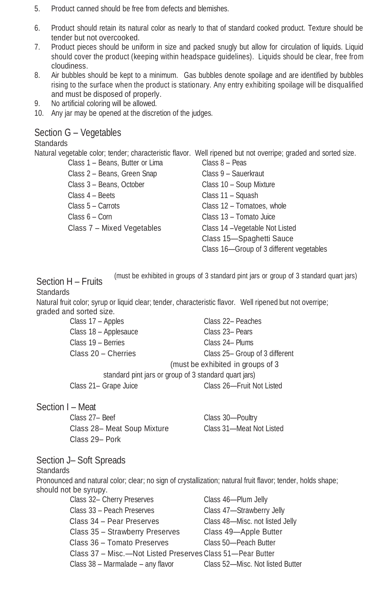- 5. Product canned should be free from defects and blemishes.
- 6. Product should retain its natural color as nearly to that of standard cooked product. Texture should be tender but not overcooked.
- 7. Product pieces should be uniform in size and packed snugly but allow for circulation of liquids. Liquid should cover the product (keeping within headspace guidelines). Liquids should be clear, free from cloudiness.
- 8. Air bubbles should be kept to a minimum. Gas bubbles denote spoilage and are identified by bubbles rising to the surface when the product is stationary. Any entry exhibiting spoilage will be disqualified and must be disposed of properly.
- 9. No artificial coloring will be allowed.
- 10. Any jar may be opened at the discretion of the judges.

### Section G – Vegetables

#### **Standards**

Natural vegetable color; tender; characteristic flavor. Well ripened but not overripe; graded and sorted size.

| Class 8 - Peas                                              |
|-------------------------------------------------------------|
| Class 9 - Sauerkraut                                        |
| Class 10 - Soup Mixture                                     |
| Class 11 - Squash                                           |
| Class 12 - Tomatoes, whole                                  |
| Class 13 - Tomato Juice                                     |
| Class 14 - Vegetable Not Listed<br>Class 15-Spaghetti Sauce |
|                                                             |

Class 16—Group of 3 different vegetables

(must be exhibited in groups of 3 standard pint jars or group of 3 standard quart jars) Section H – Fruits

#### **Standards**

Natural fruit color; syrup or liquid clear; tender, characteristic flavor. Well ripened but not overripe; graded and sorted size.

| Class 17 - Apples                                     | Class 22- Peaches                  |  |
|-------------------------------------------------------|------------------------------------|--|
| Class 18 - Applesauce                                 | Class 23- Pears                    |  |
| Class 19 - Berries                                    | Class 24- Plums                    |  |
| Class 20 - Cherries                                   | Class 25– Group of 3 different     |  |
|                                                       | (must be exhibited in groups of 3) |  |
| standard pint jars or group of 3 standard quart jars) |                                    |  |
| Class 21- Grape Juice                                 | Class 26-Fruit Not Listed          |  |

### Section I – Meat

Class 27– Beef Class 30–Poultry Class 28– Meat Soup Mixture Class 31—Meat Not Listed Class 29– Pork

### Section J– Soft Spreads

#### **Standards**

Pronounced and natural color; clear; no sign of crystallization; natural fruit flavor; tender, holds shape; should not be syrupy.

| Class 32- Cherry Preserves                                 | Class 46-Plum Jelly              |
|------------------------------------------------------------|----------------------------------|
| Class 33 - Peach Preserves                                 | Class 47-Strawberry Jelly        |
| Class 34 - Pear Preserves                                  | Class 48-Misc. not listed Jelly  |
| Class 35 - Strawberry Preserves                            | Class 49-Apple Butter            |
| Class 36 - Tomato Preserves                                | Class 50-Peach Butter            |
| Class 37 - Misc.-Not Listed Preserves Class 51-Pear Butter |                                  |
| Class 38 - Marmalade - any flavor                          | Class 52-Misc. Not listed Butter |